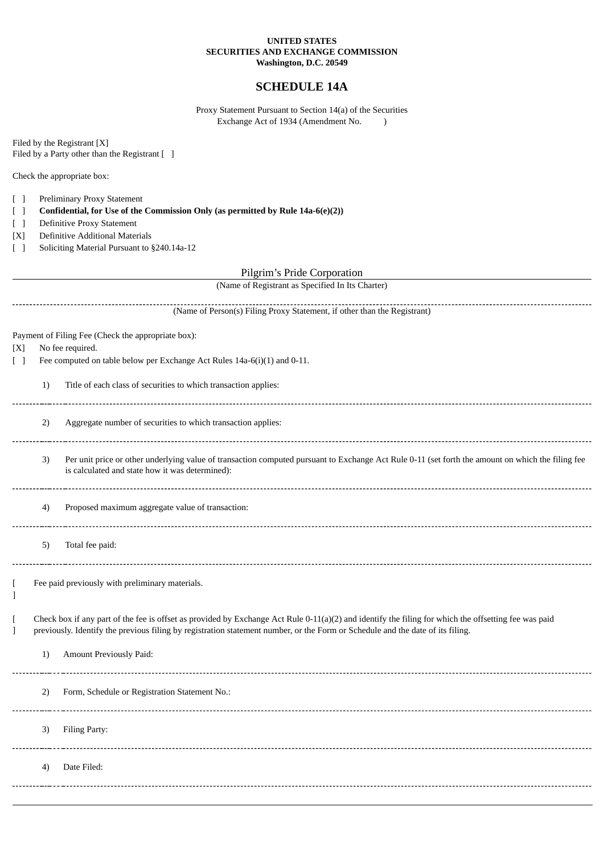## **UNITED STATES SECURITIES AND EXCHANGE COMMISSION Washington, D.C. 20549**

## **SCHEDULE 14A**

Proxy Statement Pursuant to Section 14(a) of the Securities Exchange Act of 1934 (Amendment No. )

Filed by the Registrant [X] Filed by a Party other than the Registrant [ ]

Check the appropriate box:

- [ ] Preliminary Proxy Statement
- [ ] **Confidential, for Use of the Commission Only (as permitted by Rule 14a-6(e)(2))**
- [ ] Definitive Proxy Statement
- [X] Definitive Additional Materials
- [ ] Soliciting Material Pursuant to §240.14a-12

Pilgrim's Pride Corporation

(Name of Registrant as Specified In Its Charter)

| (Name of Person(s) Filing Proxy Statement, if other than the Registrant)      |                                                                          |                                                                                                                                                                                                                                                                                        |  |
|-------------------------------------------------------------------------------|--------------------------------------------------------------------------|----------------------------------------------------------------------------------------------------------------------------------------------------------------------------------------------------------------------------------------------------------------------------------------|--|
| Payment of Filing Fee (Check the appropriate box):<br>No fee required.<br>[X] |                                                                          |                                                                                                                                                                                                                                                                                        |  |
| $\Box$                                                                        | Fee computed on table below per Exchange Act Rules 14a-6(i)(1) and 0-11. |                                                                                                                                                                                                                                                                                        |  |
|                                                                               | 1)                                                                       | Title of each class of securities to which transaction applies:                                                                                                                                                                                                                        |  |
|                                                                               | 2)                                                                       | Aggregate number of securities to which transaction applies:                                                                                                                                                                                                                           |  |
|                                                                               | 3)                                                                       | Per unit price or other underlying value of transaction computed pursuant to Exchange Act Rule 0-11 (set forth the amount on which the filing fee<br>is calculated and state how it was determined):                                                                                   |  |
|                                                                               | 4)                                                                       | Proposed maximum aggregate value of transaction:                                                                                                                                                                                                                                       |  |
|                                                                               | 5)                                                                       | Total fee paid:                                                                                                                                                                                                                                                                        |  |
| 1                                                                             | Fee paid previously with preliminary materials.                          |                                                                                                                                                                                                                                                                                        |  |
| L<br>1                                                                        |                                                                          | Check box if any part of the fee is offset as provided by Exchange Act Rule 0-11(a)(2) and identify the filing for which the offsetting fee was paid<br>previously. Identify the previous filing by registration statement number, or the Form or Schedule and the date of its filing. |  |
|                                                                               | 1)                                                                       | Amount Previously Paid:                                                                                                                                                                                                                                                                |  |
|                                                                               | 2)                                                                       | Form, Schedule or Registration Statement No.:                                                                                                                                                                                                                                          |  |
|                                                                               | 3)                                                                       | Filing Party:                                                                                                                                                                                                                                                                          |  |
|                                                                               | 4)                                                                       | Date Filed:                                                                                                                                                                                                                                                                            |  |
|                                                                               |                                                                          |                                                                                                                                                                                                                                                                                        |  |